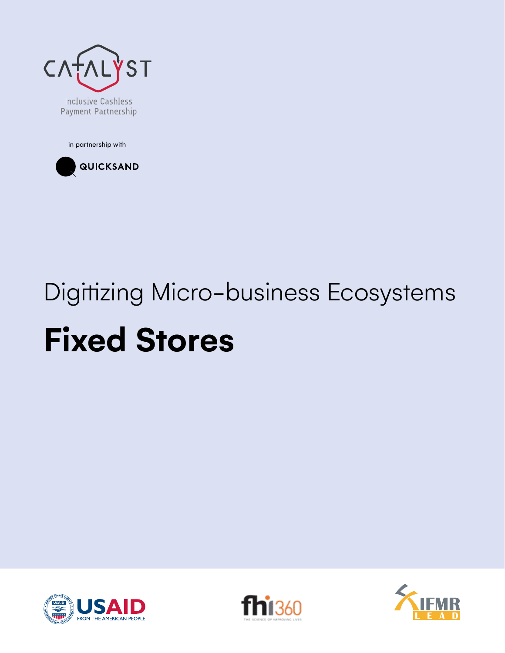

in partnership with



# Digitizing Micro-business Ecosystems

## **Fixed Stores**





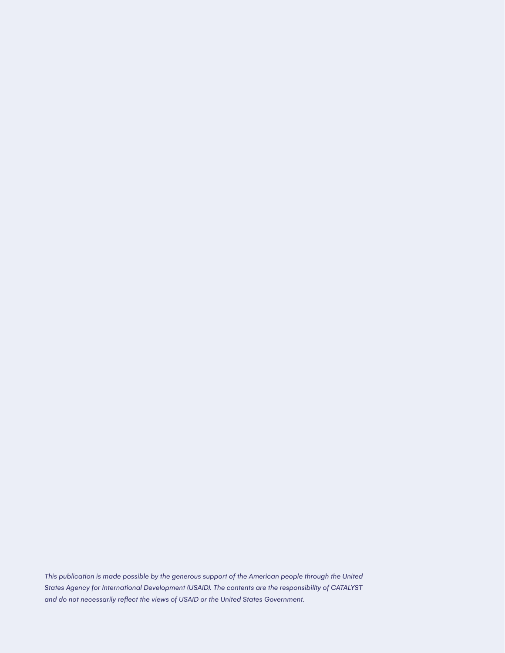*This publication is made possible by the generous support of the American people through the United States Agency for International Development (USAID). The contents are the responsibility of CATALYST and do not necessarily reflect the views of USAID or the United States Government.*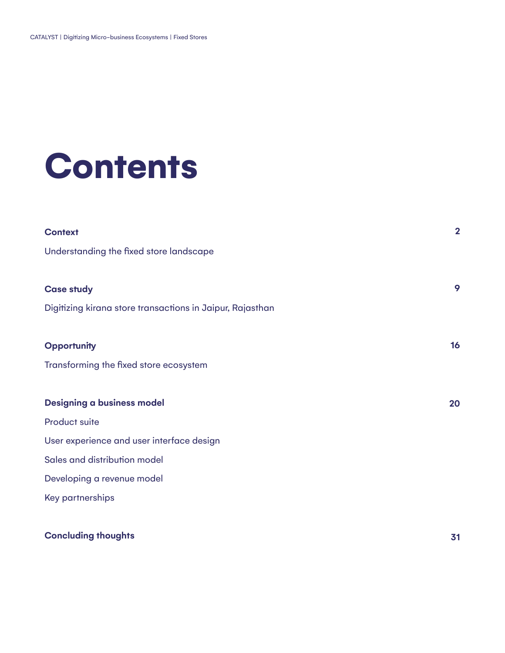## **Contents**

| <b>Context</b>                                            | $\overline{\mathbf{2}}$ |
|-----------------------------------------------------------|-------------------------|
| Understanding the fixed store landscape                   |                         |
|                                                           |                         |
| <b>Case study</b>                                         | 9                       |
| Digitizing kirana store transactions in Jaipur, Rajasthan |                         |
|                                                           |                         |
| <b>Opportunity</b>                                        | 16                      |
| Transforming the fixed store ecosystem                    |                         |
|                                                           |                         |
| <b>Designing a business model</b>                         | 20                      |
| <b>Product suite</b>                                      |                         |
| User experience and user interface design                 |                         |
| Sales and distribution model                              |                         |
| Developing a revenue model                                |                         |
| Key partnerships                                          |                         |
|                                                           |                         |

#### **Concluding thoughts**

**31**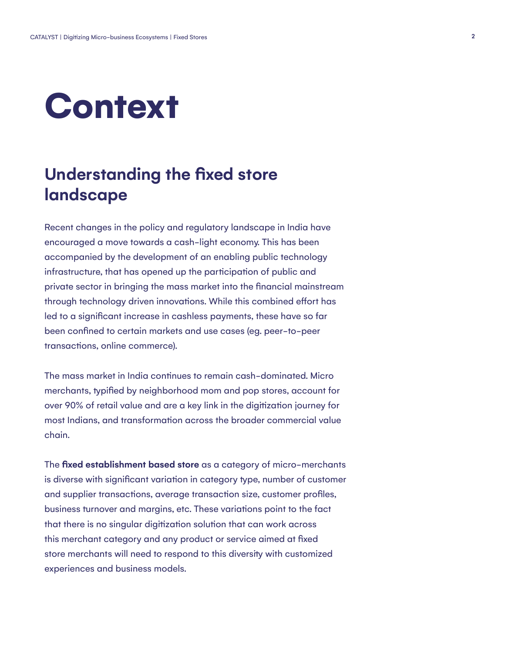## **Context**

## **Understanding the fixed store landscape**

Recent changes in the policy and regulatory landscape in India have encouraged a move towards a cash-light economy. This has been accompanied by the development of an enabling public technology infrastructure, that has opened up the participation of public and private sector in bringing the mass market into the financial mainstream through technology driven innovations. While this combined effort has led to a significant increase in cashless payments, these have so far been confined to certain markets and use cases (eg. peer-to-peer transactions, online commerce).

The mass market in India continues to remain cash-dominated. Micro merchants, typified by neighborhood mom and pop stores, account for over 90% of retail value and are a key link in the digitization journey for most Indians, and transformation across the broader commercial value chain.

The **fixed establishment based store** as a category of micro-merchants is diverse with significant variation in category type, number of customer and supplier transactions, average transaction size, customer profiles, business turnover and margins, etc. These variations point to the fact that there is no singular digitization solution that can work across this merchant category and any product or service aimed at fixed store merchants will need to respond to this diversity with customized experiences and business models.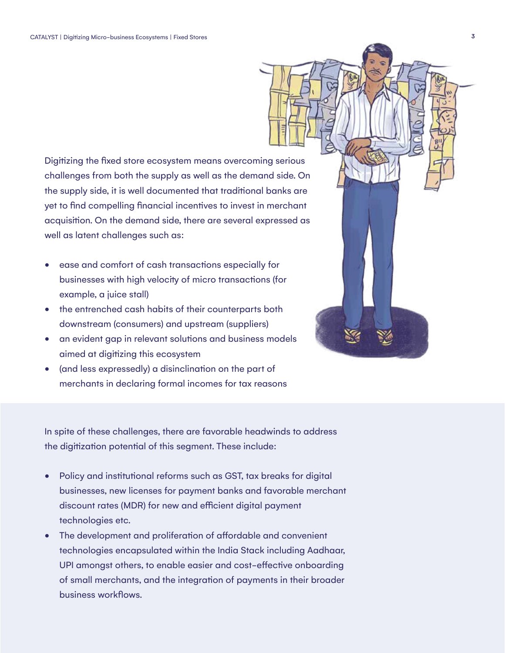Digitizing the fixed store ecosystem means overcoming serious challenges from both the supply as well as the demand side. On the supply side, it is well documented that traditional banks are yet to find compelling financial incentives to invest in merchant acquisition. On the demand side, there are several expressed as well as latent challenges such as:

- ease and comfort of cash transactions especially for businesses with high velocity of micro transactions (for example, a juice stall)
- the entrenched cash habits of their counterparts both downstream (consumers) and upstream (suppliers)
- an evident gap in relevant solutions and business models aimed at digitizing this ecosystem
- (and less expressedly) a disinclination on the part of merchants in declaring formal incomes for tax reasons

In spite of these challenges, there are favorable headwinds to address the digitization potential of this segment. These include:

- Policy and institutional reforms such as GST, tax breaks for digital businesses, new licenses for payment banks and favorable merchant discount rates (MDR) for new and efficient digital payment technologies etc.
- The development and proliferation of affordable and convenient technologies encapsulated within the India Stack including Aadhaar, UPI amongst others, to enable easier and cost-effective onboarding of small merchants, and the integration of payments in their broader business workflows.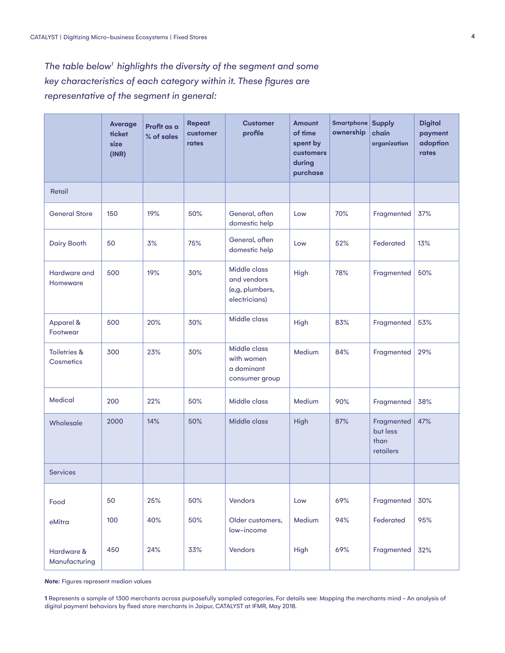*The table below<sup>1</sup>highlights the diversity of the segment and some key characteristics of each category within it. These figures are representative of the segment in general:*

|                             | Average<br>ticket<br>size<br>(INR) | Profit as a<br>% of sales | <b>Repeat</b><br>customer<br>rates | <b>Customer</b><br>profile                                      | <b>Amount</b><br>of time<br>spent by<br><b>customers</b><br>during<br>purchase | <b>Smartphone</b><br>ownership | <b>Supply</b><br>chain<br>organization      | <b>Digital</b><br>payment<br>adoption<br>rates |
|-----------------------------|------------------------------------|---------------------------|------------------------------------|-----------------------------------------------------------------|--------------------------------------------------------------------------------|--------------------------------|---------------------------------------------|------------------------------------------------|
| Retail                      |                                    |                           |                                    |                                                                 |                                                                                |                                |                                             |                                                |
| <b>General Store</b>        | 150                                | 19%                       | 50%                                | General, often<br>domestic help                                 | Low                                                                            | 70%                            | Fragmented                                  | 37%                                            |
| Dairy Booth                 | 50                                 | 3%                        | 75%                                | General, often<br>domestic help                                 | Low                                                                            | 52%                            | Federated                                   | 13%                                            |
| Hardware and<br>Homeware    | 500                                | 19%                       | 30%                                | Middle class<br>and vendors<br>(e,g, plumbers,<br>electricians) | High                                                                           | 78%                            | Fragmented                                  | 50%                                            |
| Apparel &<br>Footwear       | 500                                | 20%                       | 30%                                | Middle class                                                    | High                                                                           | 83%                            | Fragmented                                  | 53%                                            |
| Toiletries &<br>Cosmetics   | 300                                | 23%                       | 30%                                | Middle class<br>with women<br>a dominant<br>consumer group      | Medium                                                                         | 84%                            | Fragmented                                  | 29%                                            |
| Medical                     | 200                                | 22%                       | 50%                                | Middle class                                                    | Medium                                                                         | 90%                            | Fragmented                                  | 38%                                            |
| Wholesale                   | 2000                               | 14%                       | 50%                                | <b>Middle class</b>                                             | High                                                                           | 87%                            | Fragmented<br>but less<br>than<br>retailers | 47%                                            |
| <b>Services</b>             |                                    |                           |                                    |                                                                 |                                                                                |                                |                                             |                                                |
| Food                        | 50                                 | 25%                       | 50%                                | Vendors                                                         | Low                                                                            | 69%                            | Fragmented                                  | 30%                                            |
| eMitra                      | 100                                | 40%                       | 50%                                | Older customers,<br>low-income                                  | Medium                                                                         | 94%                            | Federated                                   | 95%                                            |
| Hardware &<br>Manufacturing | 450                                | 24%                       | 33%                                | Vendors                                                         | High                                                                           | 69%                            | Fragmented                                  | 32%                                            |

*Note:* Figures represent median values

**1** Represents a sample of 1300 merchants across purposefully sampled categories. For details see: Mapping the merchants mind - An analysis of digital payment behaviors by fixed store merchants in Jaipur, CATALYST at IFMR, May 2018.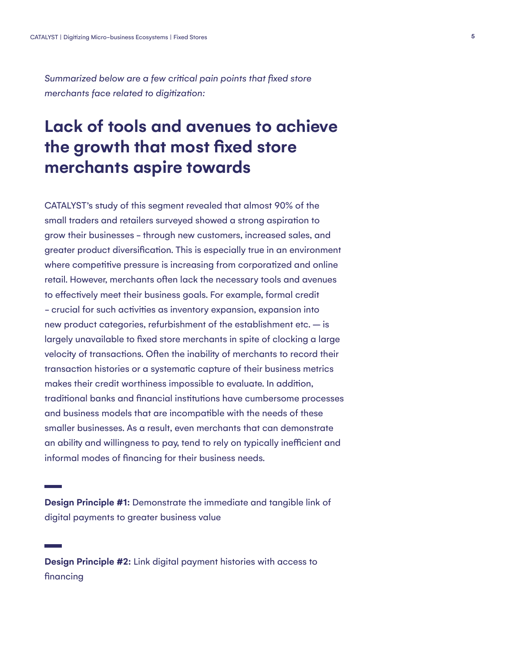*Summarized below are a few critical pain points that fixed store merchants face related to digitization:* 

## **Lack of tools and avenues to achieve the growth that most fixed store merchants aspire towards**

CATALYST's study of this segment revealed that almost 90% of the small traders and retailers surveyed showed a strong aspiration to grow their businesses - through new customers, increased sales, and greater product diversification. This is especially true in an environment where competitive pressure is increasing from corporatized and online retail. However, merchants often lack the necessary tools and avenues to effectively meet their business goals. For example, formal credit - crucial for such activities as inventory expansion, expansion into new product categories, refurbishment of the establishment etc. – is largely unavailable to fixed store merchants in spite of clocking a large velocity of transactions. Often the inability of merchants to record their transaction histories or a systematic capture of their business metrics makes their credit worthiness impossible to evaluate. In addition, traditional banks and financial institutions have cumbersome processes and business models that are incompatible with the needs of these smaller businesses. As a result, even merchants that can demonstrate an ability and willingness to pay, tend to rely on typically inefficient and informal modes of financing for their business needs.

**Design Principle #1:** Demonstrate the immediate and tangible link of digital payments to greater business value

**Design Principle #2:** Link digital payment histories with access to financing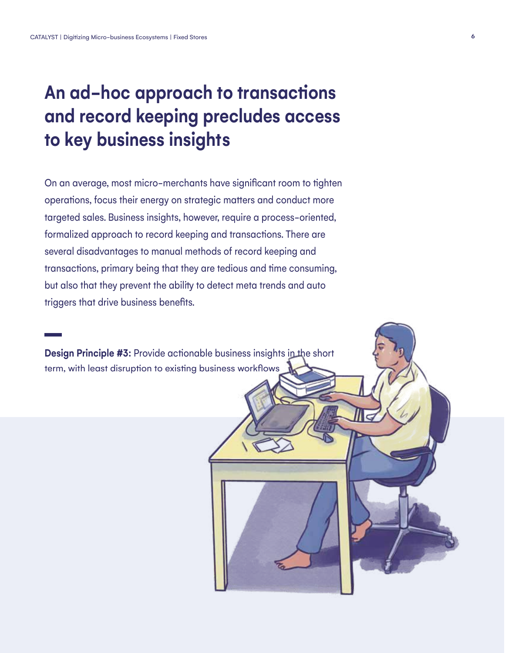## **An ad-hoc approach to transactions and record keeping precludes access to key business insights**

On an average, most micro-merchants have significant room to tighten operations, focus their energy on strategic matters and conduct more targeted sales. Business insights, however, require a process-oriented, formalized approach to record keeping and transactions. There are several disadvantages to manual methods of record keeping and transactions, primary being that they are tedious and time consuming, but also that they prevent the ability to detect meta trends and auto triggers that drive business benefits.

**Design Principle #3:** Provide actionable business insights in the short term, with least disruption to existing business workflows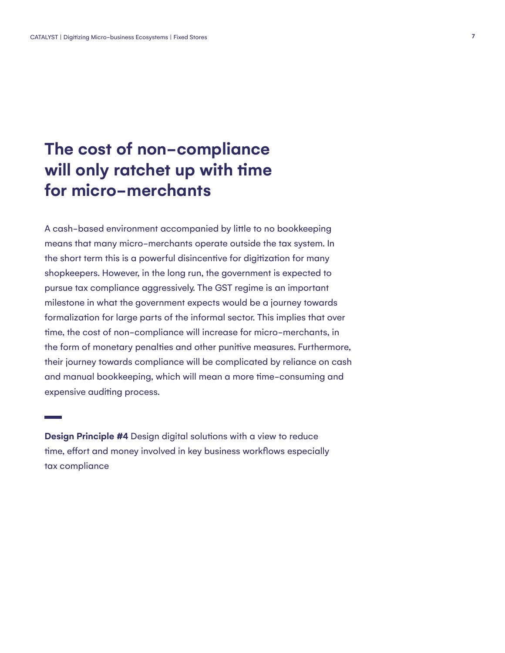## **The cost of non-compliance will only ratchet up with time for micro-merchants**

A cash-based environment accompanied by little to no bookkeeping means that many micro-merchants operate outside the tax system. In the short term this is a powerful disincentive for digitization for many shopkeepers. However, in the long run, the government is expected to pursue tax compliance aggressively. The GST regime is an important milestone in what the government expects would be a journey towards formalization for large parts of the informal sector. This implies that over time, the cost of non-compliance will increase for micro-merchants, in the form of monetary penalties and other punitive measures. Furthermore, their journey towards compliance will be complicated by reliance on cash and manual bookkeeping, which will mean a more time-consuming and expensive auditing process.

**Design Principle #4** Design digital solutions with a view to reduce time, effort and money involved in key business workflows especially tax compliance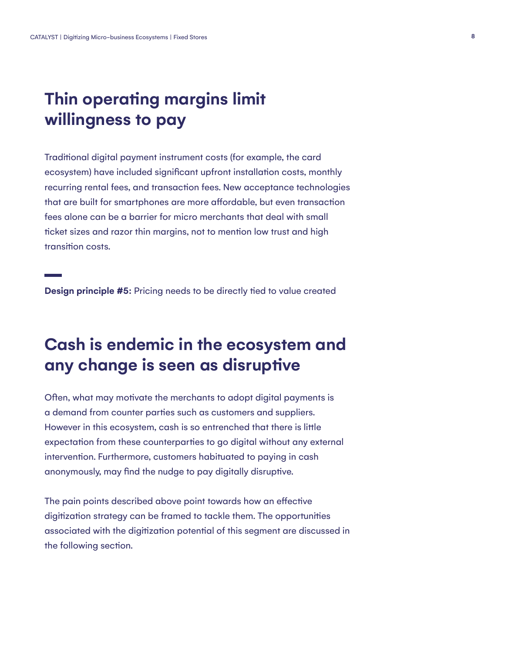## **Thin operating margins limit willingness to pay**

Traditional digital payment instrument costs (for example, the card ecosystem) have included significant upfront installation costs, monthly recurring rental fees, and transaction fees. New acceptance technologies that are built for smartphones are more affordable, but even transaction fees alone can be a barrier for micro merchants that deal with small ticket sizes and razor thin margins, not to mention low trust and high transition costs.

**Design principle #5:** Pricing needs to be directly tied to value created

## **Cash is endemic in the ecosystem and any change is seen as disruptive**

Often, what may motivate the merchants to adopt digital payments is a demand from counter parties such as customers and suppliers. However in this ecosystem, cash is so entrenched that there is little expectation from these counterparties to go digital without any external intervention. Furthermore, customers habituated to paying in cash anonymously, may find the nudge to pay digitally disruptive.

The pain points described above point towards how an effective digitization strategy can be framed to tackle them. The opportunities associated with the digitization potential of this segment are discussed in the following section.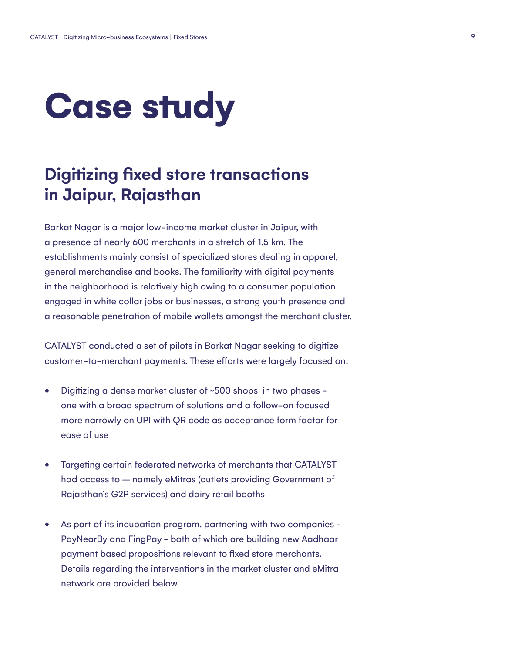# **Case study**

## **Digitizing fixed store transactions in Jaipur, Rajasthan**

Barkat Nagar is a major low-income market cluster in Jaipur, with a presence of nearly 600 merchants in a stretch of 1.5 km. The establishments mainly consist of specialized stores dealing in apparel, general merchandise and books. The familiarity with digital payments in the neighborhood is relatively high owing to a consumer population engaged in white collar jobs or businesses, a strong youth presence and a reasonable penetration of mobile wallets amongst the merchant cluster.

CATALYST conducted a set of pilots in Barkat Nagar seeking to digitize customer-to-merchant payments. These efforts were largely focused on:

- Digitizing a dense market cluster of ~500 shops in two phases one with a broad spectrum of solutions and a follow-on focused more narrowly on UPI with QR code as acceptance form factor for ease of use
- Targeting certain federated networks of merchants that CATALYST had access to – namely eMitras (outlets providing Government of Rajasthan's G2P services) and dairy retail booths
- As part of its incubation program, partnering with two companies PayNearBy and FingPay - both of which are building new Aadhaar payment based propositions relevant to fixed store merchants. Details regarding the interventions in the market cluster and eMitra network are provided below.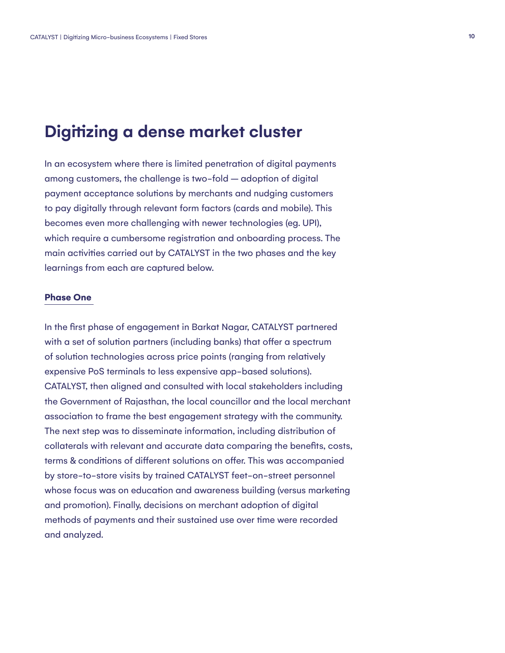### **Digitizing a dense market cluster**

In an ecosystem where there is limited penetration of digital payments among customers, the challenge is two-fold – adoption of digital payment acceptance solutions by merchants and nudging customers to pay digitally through relevant form factors (cards and mobile). This becomes even more challenging with newer technologies (eg. UPI), which require a cumbersome registration and onboarding process. The main activities carried out by CATALYST in the two phases and the key learnings from each are captured below.

#### **Phase One**

In the first phase of engagement in Barkat Nagar, CATALYST partnered with a set of solution partners (including banks) that offer a spectrum of solution technologies across price points (ranging from relatively expensive PoS terminals to less expensive app-based solutions). CATALYST, then aligned and consulted with local stakeholders including the Government of Rajasthan, the local councillor and the local merchant association to frame the best engagement strategy with the community. The next step was to disseminate information, including distribution of collaterals with relevant and accurate data comparing the benefits, costs, terms & conditions of different solutions on offer. This was accompanied by store-to-store visits by trained CATALYST feet-on-street personnel whose focus was on education and awareness building (versus marketing and promotion). Finally, decisions on merchant adoption of digital methods of payments and their sustained use over time were recorded and analyzed.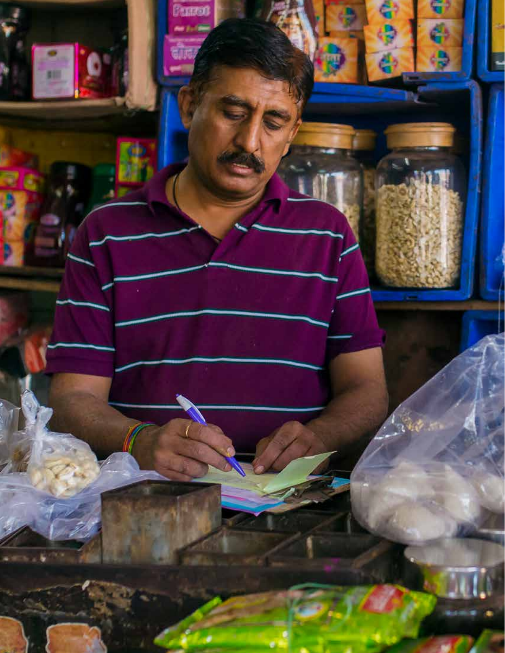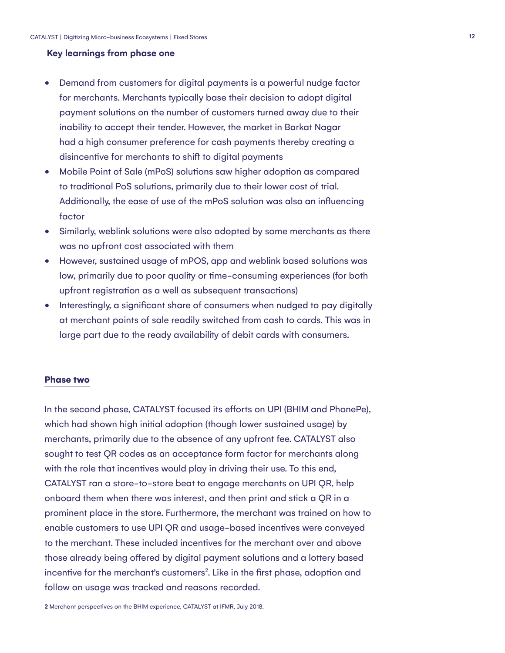#### **Key learnings from phase one**

- Demand from customers for digital payments is a powerful nudge factor for merchants. Merchants typically base their decision to adopt digital payment solutions on the number of customers turned away due to their inability to accept their tender. However, the market in Barkat Nagar had a high consumer preference for cash payments thereby creating a disincentive for merchants to shift to digital payments
- Mobile Point of Sale (mPoS) solutions saw higher adoption as compared to traditional PoS solutions, primarily due to their lower cost of trial. Additionally, the ease of use of the mPoS solution was also an influencing factor
- Similarly, weblink solutions were also adopted by some merchants as there was no upfront cost associated with them
- However, sustained usage of mPOS, app and weblink based solutions was low, primarily due to poor quality or time-consuming experiences (for both upfront registration as a well as subsequent transactions)
- Interestingly, a significant share of consumers when nudged to pay digitally at merchant points of sale readily switched from cash to cards. This was in large part due to the ready availability of debit cards with consumers.

#### **Phase two**

In the second phase, CATALYST focused its efforts on UPI (BHIM and PhonePe), which had shown high initial adoption (though lower sustained usage) by merchants, primarily due to the absence of any upfront fee. CATALYST also sought to test QR codes as an acceptance form factor for merchants along with the role that incentives would play in driving their use. To this end, CATALYST ran a store-to-store beat to engage merchants on UPI QR, help onboard them when there was interest, and then print and stick a QR in a prominent place in the store. Furthermore, the merchant was trained on how to enable customers to use UPI QR and usage-based incentives were conveyed to the merchant. These included incentives for the merchant over and above those already being offered by digital payment solutions and a lottery based incentive for the merchant's customers<sup>2</sup>. Like in the first phase, adoption and follow on usage was tracked and reasons recorded.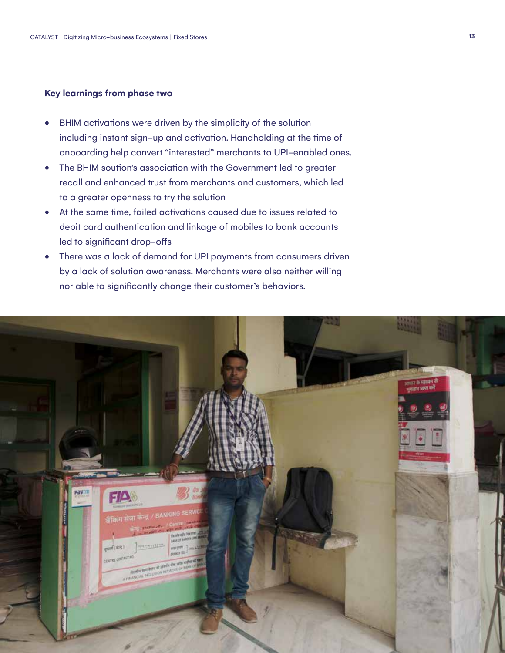#### **Key learnings from phase two**

- BHIM activations were driven by the simplicity of the solution including instant sign-up and activation. Handholding at the time of onboarding help convert "interested" merchants to UPI-enabled ones.
- The BHIM soution's association with the Government led to greater recall and enhanced trust from merchants and customers, which led to a greater openness to try the solution
- At the same time, failed activations caused due to issues related to debit card authentication and linkage of mobiles to bank accounts led to significant drop-offs
- There was a lack of demand for UPI payments from consumers driven by a lack of solution awareness. Merchants were also neither willing nor able to significantly change their customer's behaviors.

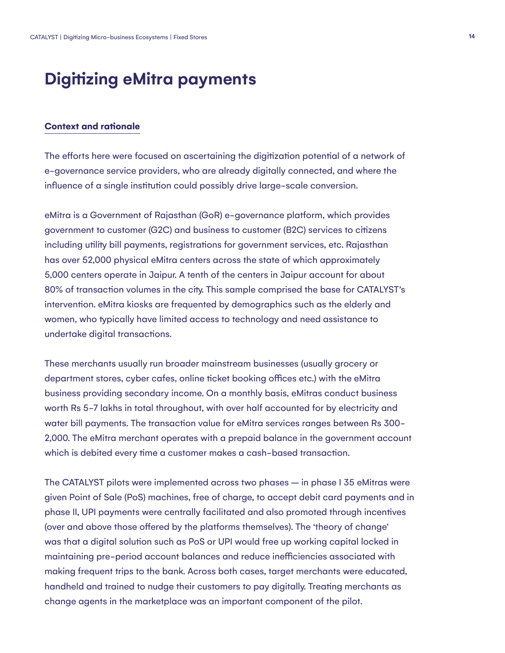## **Digitizing eMitra payments**

#### **Context and rationale**

The efforts here were focused on ascertaining the digitization potential of a network of e-governance service providers, who are already digitally connected, and where the influence of a single institution could possibly drive large-scale conversion.

eMitra is a Government of Rajasthan (GoR) e-governance platform, which provides government to customer (G2C) and business to customer (B2C) services to citizens including utility bill payments, registrations for government services, etc. Rajasthan has over 52,000 physical eMitra centers across the state of which approximately 5,000 centers operate in Jaipur. A tenth of the centers in Jaipur account for about 80% of transaction volumes in the city. This sample comprised the base for CATALYST's intervention. eMitra kiosks are frequented by demographics such as the elderly and women, who typically have limited access to technology and need assistance to undertake digital transactions.

These merchants usually run broader mainstream businesses (usually grocery or department stores, cyber cafes, online ticket booking offices etc.) with the eMitra business providing secondary income. On a monthly basis, eMitras conduct business worth Rs 5-7 lakhs in total throughout, with over half accounted for by electricity and water bill payments. The transaction value for eMitra services ranges between Rs 300- 2,000. The eMitra merchant operates with a prepaid balance in the government account which is debited every time a customer makes a cash-based transaction.

The CATALYST pilots were implemented across two phases – in phase I 35 eMitras were given Point of Sale (PoS) machines, free of charge, to accept debit card payments and in phase II, UPI payments were centrally facilitated and also promoted through incentives (over and above those offered by the platforms themselves). The 'theory of change' was that a digital solution such as PoS or UPI would free up working capital locked in maintaining pre-period account balances and reduce inefficiencies associated with making frequent trips to the bank. Across both cases, target merchants were educated, handheld and trained to nudge their customers to pay digitally. Treating merchants as change agents in the marketplace was an important component of the pilot.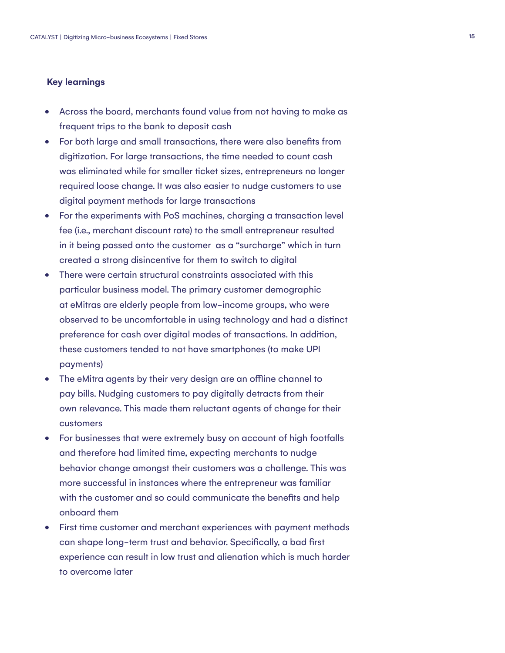#### **Key learnings**

- Across the board, merchants found value from not having to make as frequent trips to the bank to deposit cash
- For both large and small transactions, there were also benefits from digitization. For large transactions, the time needed to count cash was eliminated while for smaller ticket sizes, entrepreneurs no longer required loose change. It was also easier to nudge customers to use digital payment methods for large transactions
- For the experiments with PoS machines, charging a transaction level fee (i.e., merchant discount rate) to the small entrepreneur resulted in it being passed onto the customer as a "surcharge" which in turn created a strong disincentive for them to switch to digital
- There were certain structural constraints associated with this particular business model. The primary customer demographic at eMitras are elderly people from low-income groups, who were observed to be uncomfortable in using technology and had a distinct preference for cash over digital modes of transactions. In addition, these customers tended to not have smartphones (to make UPI payments)
- The eMitra agents by their very design are an offline channel to pay bills. Nudging customers to pay digitally detracts from their own relevance. This made them reluctant agents of change for their customers
- For businesses that were extremely busy on account of high footfalls and therefore had limited time, expecting merchants to nudge behavior change amongst their customers was a challenge. This was more successful in instances where the entrepreneur was familiar with the customer and so could communicate the benefits and help onboard them
- First time customer and merchant experiences with payment methods can shape long-term trust and behavior. Specifically, a bad first experience can result in low trust and alienation which is much harder to overcome later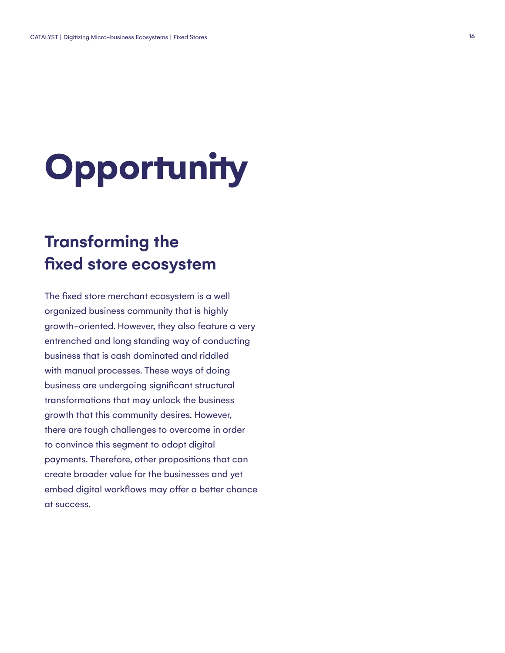## **Transforming the fixed store ecosystem**

The fixed store merchant ecosystem is a well organized business community that is highly growth-oriented. However, they also feature a very entrenched and long standing way of conducting business that is cash dominated and riddled with manual processes. These ways of doing business are undergoing significant structural transformations that may unlock the business growth that this community desires. However, there are tough challenges to overcome in order to convince this segment to adopt digital payments. Therefore, other propositions that can create broader value for the businesses and yet embed digital workflows may offer a better chance at success.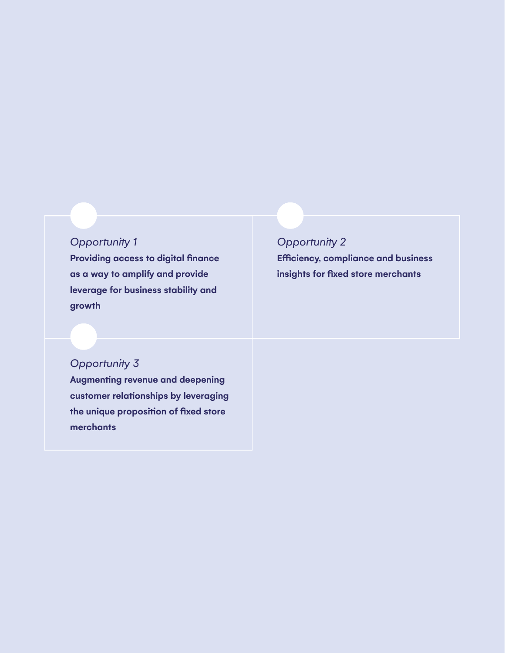**Providing access to digital finance as a way to amplify and provide leverage for business stability and growth**

#### *Opportunity 2*

**Efficiency, compliance and business insights for fixed store merchants** 

#### *Opportunity 3*

**Augmenting revenue and deepening customer relationships by leveraging the unique proposition of fixed store merchants**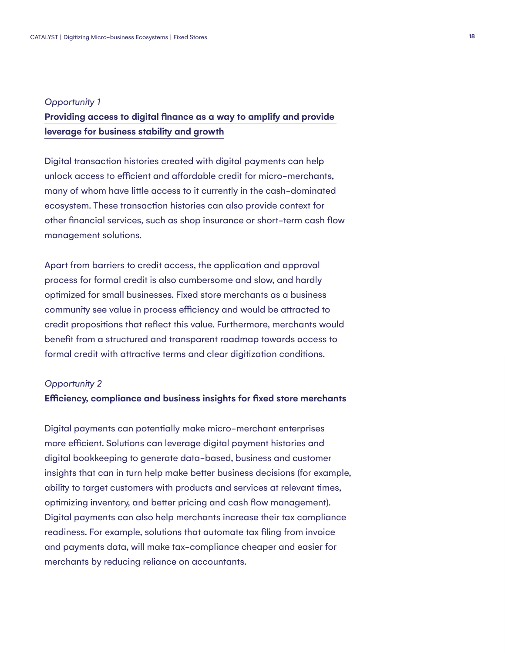#### **Providing access to digital finance as a way to amplify and provide leverage for business stability and growth**

Digital transaction histories created with digital payments can help unlock access to efficient and affordable credit for micro-merchants, many of whom have little access to it currently in the cash-dominated ecosystem. These transaction histories can also provide context for other financial services, such as shop insurance or short-term cash flow management solutions.

Apart from barriers to credit access, the application and approval process for formal credit is also cumbersome and slow, and hardly optimized for small businesses. Fixed store merchants as a business community see value in process efficiency and would be attracted to credit propositions that reflect this value. Furthermore, merchants would benefit from a structured and transparent roadmap towards access to formal credit with attractive terms and clear digitization conditions.

#### *Opportunity 2*

#### **Efficiency, compliance and business insights for fixed store merchants**

Digital payments can potentially make micro-merchant enterprises more efficient. Solutions can leverage digital payment histories and digital bookkeeping to generate data-based, business and customer insights that can in turn help make better business decisions (for example, ability to target customers with products and services at relevant times, optimizing inventory, and better pricing and cash flow management). Digital payments can also help merchants increase their tax compliance readiness. For example, solutions that automate tax filing from invoice and payments data, will make tax-compliance cheaper and easier for merchants by reducing reliance on accountants.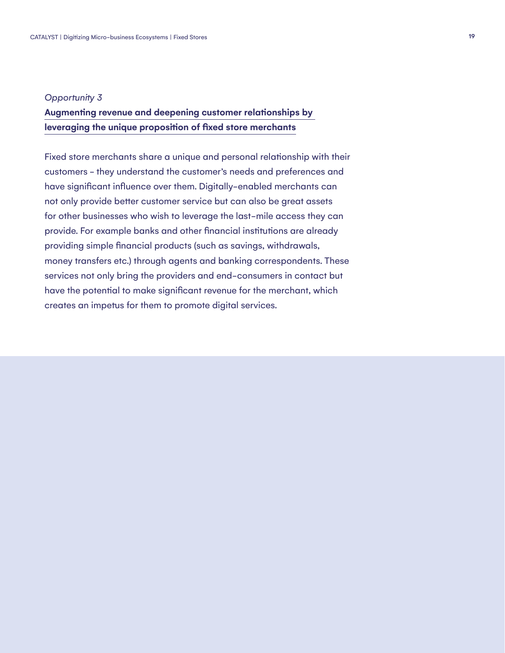#### **Augmenting revenue and deepening customer relationships by leveraging the unique proposition of fixed store merchants**

Fixed store merchants share a unique and personal relationship with their customers - they understand the customer's needs and preferences and have significant influence over them. Digitally-enabled merchants can not only provide better customer service but can also be great assets for other businesses who wish to leverage the last-mile access they can provide. For example banks and other financial institutions are already providing simple financial products (such as savings, withdrawals, money transfers etc.) through agents and banking correspondents. These services not only bring the providers and end-consumers in contact but have the potential to make significant revenue for the merchant, which creates an impetus for them to promote digital services.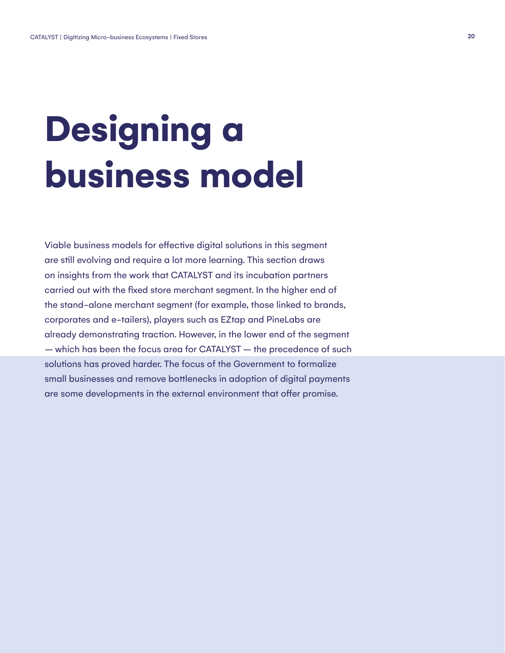# **Designing a business model**

Viable business models for effective digital solutions in this segment are still evolving and require a lot more learning. This section draws on insights from the work that CATALYST and its incubation partners carried out with the fixed store merchant segment. In the higher end of the stand-alone merchant segment (for example, those linked to brands, corporates and e-tailers), players such as EZtap and PineLabs are already demonstrating traction. However, in the lower end of the segment – which has been the focus area for CATALYST – the precedence of such solutions has proved harder. The focus of the Government to formalize small businesses and remove bottlenecks in adoption of digital payments are some developments in the external environment that offer promise.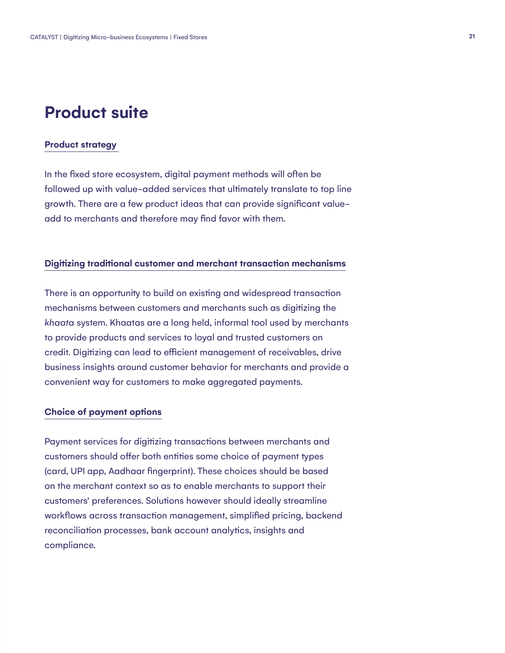### **Product suite**

#### **Product strategy**

In the fixed store ecosystem, digital payment methods will often be followed up with value-added services that ultimately translate to top line growth. There are a few product ideas that can provide significant valueadd to merchants and therefore may find favor with them.

#### **Digitizing traditional customer and merchant transaction mechanisms**

There is an opportunity to build on existing and widespread transaction mechanisms between customers and merchants such as digitizing the *khaata* system. Khaatas are a long held, informal tool used by merchants to provide products and services to loyal and trusted customers on credit. Digitizing can lead to efficient management of receivables, drive business insights around customer behavior for merchants and provide a convenient way for customers to make aggregated payments.

#### **Choice of payment options**

Payment services for digitizing transactions between merchants and customers should offer both entities some choice of payment types (card, UPI app, Aadhaar fingerprint). These choices should be based on the merchant context so as to enable merchants to support their customers' preferences. Solutions however should ideally streamline workflows across transaction management, simplified pricing, backend reconciliation processes, bank account analytics, insights and compliance.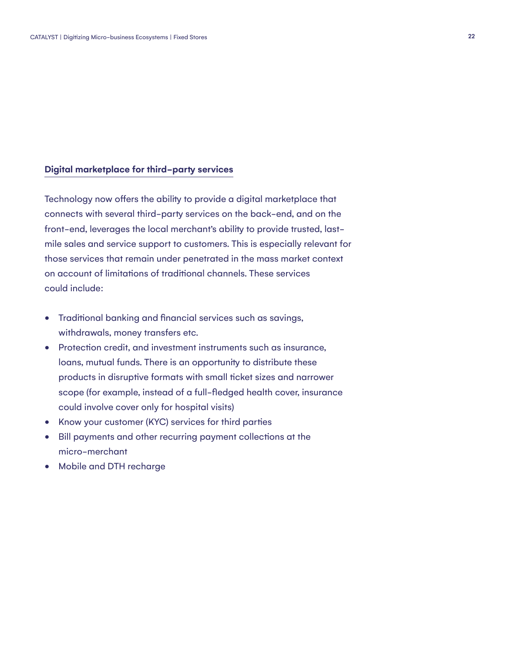#### **Digital marketplace for third-party services**

Technology now offers the ability to provide a digital marketplace that connects with several third-party services on the back-end, and on the front-end, leverages the local merchant's ability to provide trusted, lastmile sales and service support to customers. This is especially relevant for those services that remain under penetrated in the mass market context on account of limitations of traditional channels. These services could include:

- Traditional banking and financial services such as savings, withdrawals, money transfers etc.
- Protection credit, and investment instruments such as insurance, loans, mutual funds. There is an opportunity to distribute these products in disruptive formats with small ticket sizes and narrower scope (for example, instead of a full-fledged health cover, insurance could involve cover only for hospital visits)
- Know your customer (KYC) services for third parties
- Bill payments and other recurring payment collections at the micro-merchant
- Mobile and DTH recharge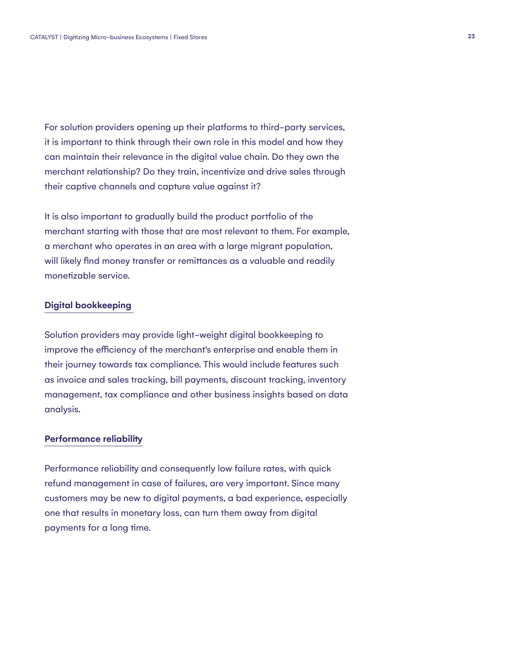For solution providers opening up their platforms to third-party services, it is important to think through their own role in this model and how they can maintain their relevance in the digital value chain. Do they own the merchant relationship? Do they train, incentivize and drive sales through their captive channels and capture value against it?

It is also important to gradually build the product portfolio of the merchant starting with those that are most relevant to them. For example, a merchant who operates in an area with a large migrant population, will likely find money transfer or remittances as a valuable and readily monetizable service.

#### **Digital bookkeeping**

Solution providers may provide light-weight digital bookkeeping to improve the efficiency of the merchant's enterprise and enable them in their journey towards tax compliance. This would include features such as invoice and sales tracking, bill payments, discount tracking, inventory management, tax compliance and other business insights based on data analysis.

#### **Performance reliability**

Performance reliability and consequently low failure rates, with quick refund management in case of failures, are very important. Since many customers may be new to digital payments, a bad experience, especially one that results in monetary loss, can turn them away from digital payments for a long time.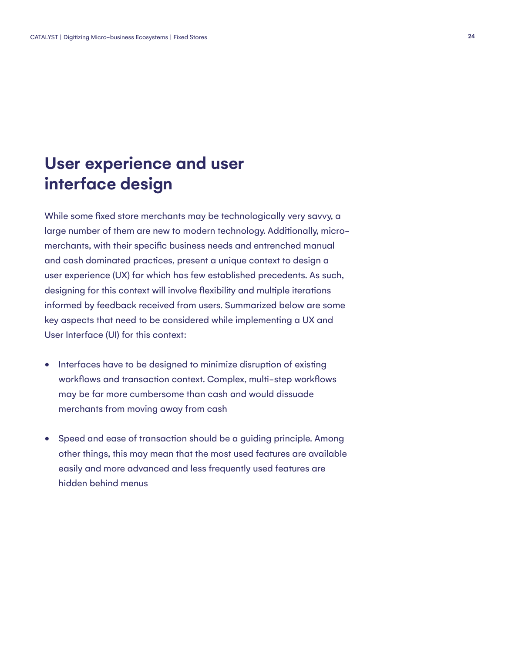## **User experience and user interface design**

While some fixed store merchants may be technologically very savvy, a large number of them are new to modern technology. Additionally, micromerchants, with their specific business needs and entrenched manual and cash dominated practices, present a unique context to design a user experience (UX) for which has few established precedents. As such, designing for this context will involve flexibility and multiple iterations informed by feedback received from users. Summarized below are some key aspects that need to be considered while implementing a UX and User Interface (UI) for this context:

- Interfaces have to be designed to minimize disruption of existing workflows and transaction context. Complex, multi-step workflows may be far more cumbersome than cash and would dissuade merchants from moving away from cash
- Speed and ease of transaction should be a guiding principle. Among other things, this may mean that the most used features are available easily and more advanced and less frequently used features are hidden behind menus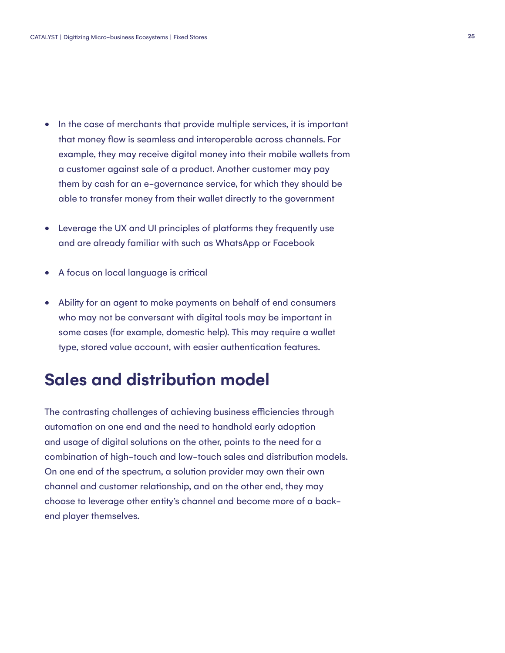- In the case of merchants that provide multiple services, it is important that money flow is seamless and interoperable across channels. For example, they may receive digital money into their mobile wallets from a customer against sale of a product. Another customer may pay them by cash for an e-governance service, for which they should be able to transfer money from their wallet directly to the government
- Leverage the UX and UI principles of platforms they frequently use and are already familiar with such as WhatsApp or Facebook
- A focus on local language is critical
- Ability for an agent to make payments on behalf of end consumers who may not be conversant with digital tools may be important in some cases (for example, domestic help). This may require a wallet type, stored value account, with easier authentication features.

## **Sales and distribution model**

The contrasting challenges of achieving business efficiencies through automation on one end and the need to handhold early adoption and usage of digital solutions on the other, points to the need for a combination of high-touch and low-touch sales and distribution models. On one end of the spectrum, a solution provider may own their own channel and customer relationship, and on the other end, they may choose to leverage other entity's channel and become more of a backend player themselves.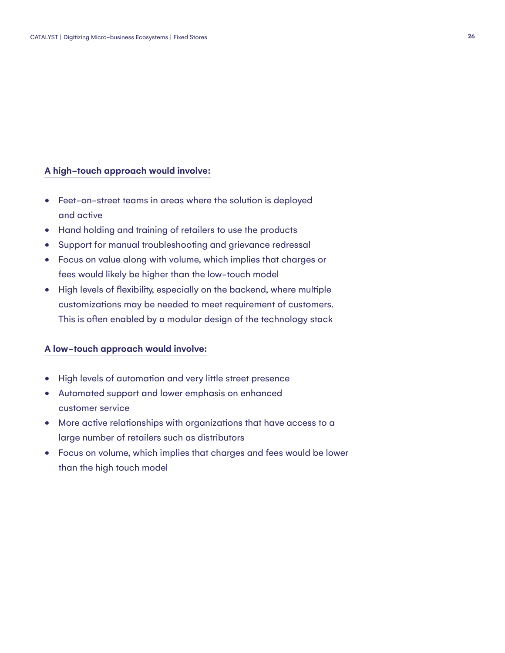#### **A high-touch approach would involve:**

- Feet-on-street teams in areas where the solution is deployed and active
- Hand holding and training of retailers to use the products
- Support for manual troubleshooting and grievance redressal
- Focus on value along with volume, which implies that charges or fees would likely be higher than the low-touch model
- High levels of flexibility, especially on the backend, where multiple customizations may be needed to meet requirement of customers. This is often enabled by a modular design of the technology stack

#### **A low-touch approach would involve:**

- High levels of automation and very little street presence
- Automated support and lower emphasis on enhanced customer service
- More active relationships with organizations that have access to a large number of retailers such as distributors
- Focus on volume, which implies that charges and fees would be lower than the high touch model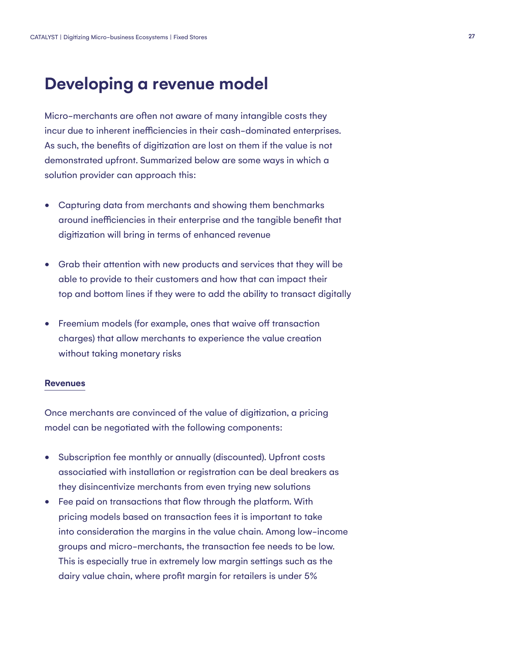## **Developing a revenue model**

Micro-merchants are often not aware of many intangible costs they incur due to inherent inefficiencies in their cash-dominated enterprises. As such, the benefits of digitization are lost on them if the value is not demonstrated upfront. Summarized below are some ways in which a solution provider can approach this:

- Capturing data from merchants and showing them benchmarks around inefficiencies in their enterprise and the tangible benefit that digitization will bring in terms of enhanced revenue
- Grab their attention with new products and services that they will be able to provide to their customers and how that can impact their top and bottom lines if they were to add the ability to transact digitally
- Freemium models (for example, ones that waive off transaction charges) that allow merchants to experience the value creation without taking monetary risks

#### **Revenues**

Once merchants are convinced of the value of digitization, a pricing model can be negotiated with the following components:

- Subscription fee monthly or annually (discounted). Upfront costs associatied with installation or registration can be deal breakers as they disincentivize merchants from even trying new solutions
- Fee paid on transactions that flow through the platform. With pricing models based on transaction fees it is important to take into consideration the margins in the value chain. Among low-income groups and micro-merchants, the transaction fee needs to be low. This is especially true in extremely low margin settings such as the dairy value chain, where profit margin for retailers is under 5%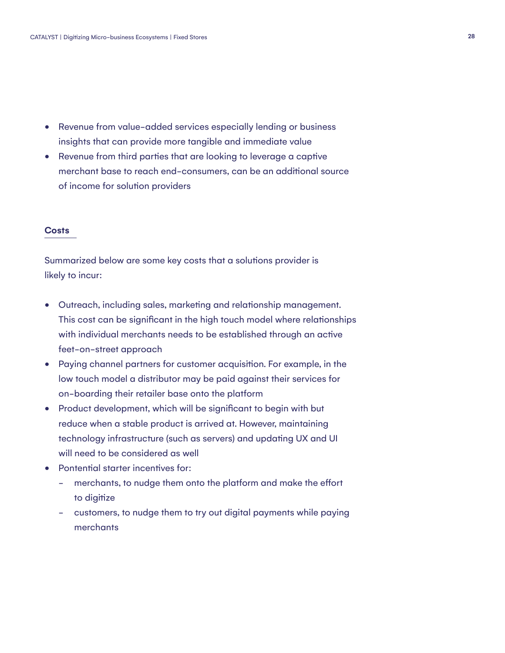- Revenue from value-added services especially lending or business insights that can provide more tangible and immediate value
- Revenue from third parties that are looking to leverage a captive merchant base to reach end-consumers, can be an additional source of income for solution providers

#### **Costs**

Summarized below are some key costs that a solutions provider is likely to incur:

- Outreach, including sales, marketing and relationship management. This cost can be significant in the high touch model where relationships with individual merchants needs to be established through an active feet-on-street approach
- Paying channel partners for customer acquisition. For example, in the low touch model a distributor may be paid against their services for on-boarding their retailer base onto the platform
- Product development, which will be significant to begin with but reduce when a stable product is arrived at. However, maintaining technology infrastructure (such as servers) and updating UX and UI will need to be considered as well
- Pontential starter incentives for:
	- merchants, to nudge them onto the platform and make the effort to digitize
	- customers, to nudge them to try out digital payments while paying merchants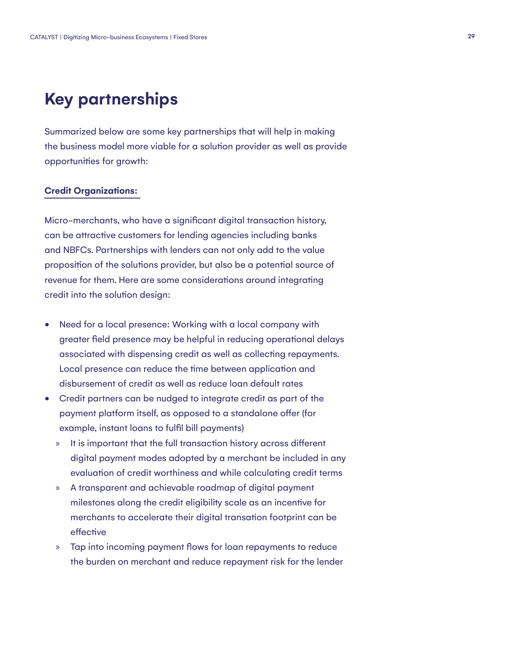## **Key partnerships**

Summarized below are some key partnerships that will help in making the business model more viable for a solution provider as well as provide opportunities for growth:

#### **Credit Organizations:**

Micro-merchants, who have a significant digital transaction history, can be attractive customers for lending agencies including banks and NBFCs. Partnerships with lenders can not only add to the value proposition of the solutions provider, but also be a potential source of revenue for them. Here are some considerations around integrating credit into the solution design:

- Need for a local presence: Working with a local company with greater field presence may be helpful in reducing operational delays associated with dispensing credit as well as collecting repayments. Local presence can reduce the time between application and disbursement of credit as well as reduce loan default rates
- Credit partners can be nudged to integrate credit as part of the payment platform itself, as opposed to a standalone offer (for example, instant loans to fulfil bill payments)
	- It is important that the full transaction history across different digital payment modes adopted by a merchant be included in any evaluation of credit worthiness and while calculating credit terms
	- » A transparent and achievable roadmap of digital payment milestones along the credit eligibility scale as an incentive for merchants to accelerate their digital transation footprint can be effective
	- » Tap into incoming payment flows for loan repayments to reduce the burden on merchant and reduce repayment risk for the lender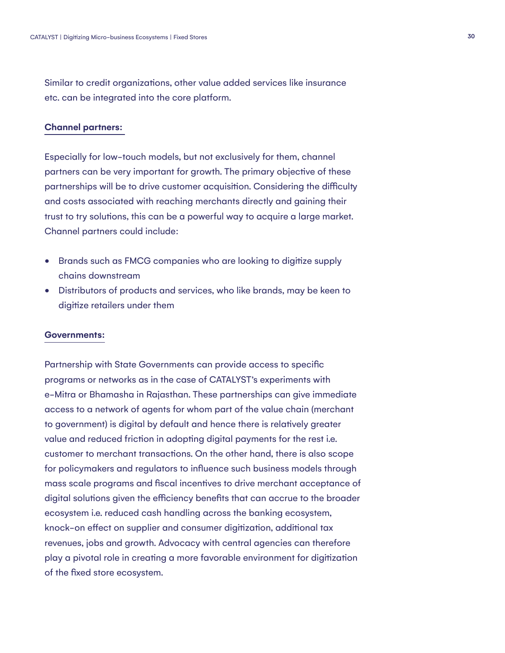Similar to credit organizations, other value added services like insurance etc. can be integrated into the core platform.

#### **Channel partners:**

Especially for low-touch models, but not exclusively for them, channel partners can be very important for growth. The primary objective of these partnerships will be to drive customer acquisition. Considering the difficulty and costs associated with reaching merchants directly and gaining their trust to try solutions, this can be a powerful way to acquire a large market. Channel partners could include:

- Brands such as FMCG companies who are looking to digitize supply chains downstream
- Distributors of products and services, who like brands, may be keen to digitize retailers under them

#### **Governments:**

Partnership with State Governments can provide access to specific programs or networks as in the case of CATALYST's experiments with e-Mitra or Bhamasha in Rajasthan. These partnerships can give immediate access to a network of agents for whom part of the value chain (merchant to government) is digital by default and hence there is relatively greater value and reduced friction in adopting digital payments for the rest i.e. customer to merchant transactions. On the other hand, there is also scope for policymakers and regulators to influence such business models through mass scale programs and fiscal incentives to drive merchant acceptance of digital solutions given the efficiency benefits that can accrue to the broader ecosystem i.e. reduced cash handling across the banking ecosystem, knock-on effect on supplier and consumer digitization, additional tax revenues, jobs and growth. Advocacy with central agencies can therefore play a pivotal role in creating a more favorable environment for digitization of the fixed store ecosystem.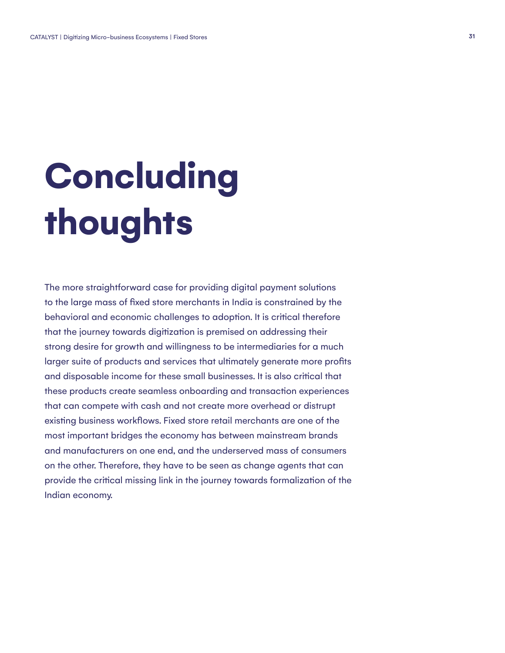# **Concluding thoughts**

The more straightforward case for providing digital payment solutions to the large mass of fixed store merchants in India is constrained by the behavioral and economic challenges to adoption. It is critical therefore that the journey towards digitization is premised on addressing their strong desire for growth and willingness to be intermediaries for a much larger suite of products and services that ultimately generate more profits and disposable income for these small businesses. It is also critical that these products create seamless onboarding and transaction experiences that can compete with cash and not create more overhead or distrupt existing business workflows. Fixed store retail merchants are one of the most important bridges the economy has between mainstream brands and manufacturers on one end, and the underserved mass of consumers on the other. Therefore, they have to be seen as change agents that can provide the critical missing link in the journey towards formalization of the Indian economy.